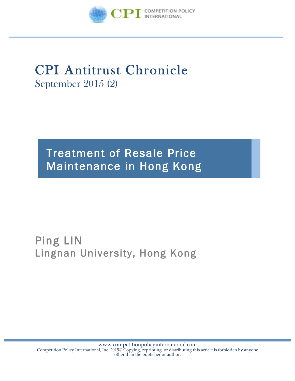

# CPI Antitrust Chronicle September 2015 (2)

# Treatment of Resale Price Maintenance in Hong Kong

## Ping LIN Lingnan University, Hong Kong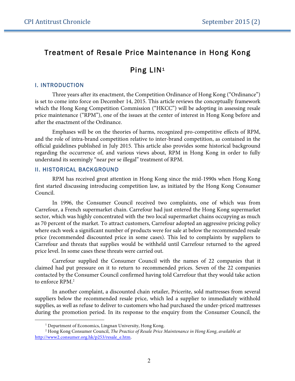### Treatment of Resale Price Maintenance in Hong Kong

## Ping LIN1

#### I. INTRODUCTION

 $\overline{a}$ 

Three years after its enactment, the Competition Ordinance of Hong Kong ("Ordinance") is set to come into force on December 14, 2015. This article reviews the conceptually framework which the Hong Kong Competition Commission ("HKCC") will be adopting in assessing resale price maintenance ("RPM"), one of the issues at the center of interest in Hong Kong before and after the enactment of the Ordinance.

Emphases will be on the theories of harms, recognized pro-competitive effects of RPM, and the role of intra-brand competition relative to inter-brand competition, as contained in the official guidelines published in July 2015. This article also provides some historical background regarding the occurrence of, and various views about, RPM in Hong Kong in order to fully understand its seemingly "near per se illegal" treatment of RPM.

#### II. HISTORICAL BACKGROUND

RPM has received great attention in Hong Kong since the mid-1990s when Hong Kong first started discussing introducing competition law, as initiated by the Hong Kong Consumer Council.

In 1996, the Consumer Council received two complaints, one of which was from Carrefour, a French supermarket chain. Carrefour had just entered the Hong Kong supermarket sector, which was highly concentrated with the two local supermarket chains occupying as much as 70 percent of the market. To attract customers, Carrefour adopted an aggressive pricing policy where each week a significant number of products were for sale at below the recommended resale price (recommended discounted price in some cases). This led to complaints by suppliers to Carrefour and threats that supplies would be withheld until Carrefour returned to the agreed price level. In some cases these threats were carried out.

Carrefour supplied the Consumer Council with the names of 22 companies that it claimed had put pressure on it to return to recommended prices. Seven of the 22 companies contacted by the Consumer Council confirmed having told Carrefour that they would take action to enforce RPM.2

In another complaint, a discounted chain retailer, Pricerite, sold mattresses from several suppliers below the recommended resale price, which led a supplier to immediately withhold supplies, as well as refuse to deliver to customers who had purchased the under-priced mattresses during the promotion period. In its response to the enquiry from the Consumer Council, the

<sup>&</sup>lt;sup>1</sup> Department of Economics, Lingnan University, Hong Kong.

<sup>2</sup> Hong Kong Consumer Council, *The Practice of Resale Price Maintenance in Hong Kong*, *available at* http://www2.consumer.org.hk/p253/resale\_e.htm.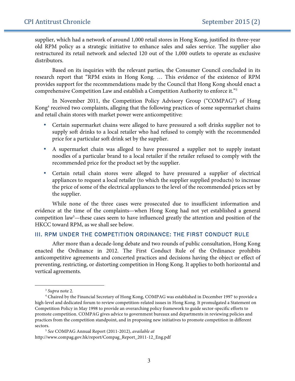supplier, which had a network of around 1,000 retail stores in Hong Kong, justified its three-year old RPM policy as a strategic initiative to enhance sales and sales service. The supplier also restructured its retail network and selected 120 out of the 1,000 outlets to operate as exclusive distributors.

Based on its inquiries with the relevant parties, the Consumer Council concluded in its research report that "RPM exists in Hong Kong. … This evidence of the existence of RPM provides support for the recommendations made by the Council that Hong Kong should enact a comprehensive Competition Law and establish a Competition Authority to enforce it."3

In November 2011, the Competition Policy Advisory Group ("COMPAG") of Hong Kong<sup>4</sup> received two complaints, alleging that the following practices of some supermarket chains and retail chain stores with market power were anticompetitive:

- Certain supermarket chains were alleged to have pressured a soft drinks supplier not to supply soft drinks to a local retailer who had refused to comply with the recommended price for a particular soft drink set by the supplier.
- A supermarket chain was alleged to have pressured a supplier not to supply instant noodles of a particular brand to a local retailer if the retailer refused to comply with the recommended price for the product set by the supplier.
- Certain retail chain stores were alleged to have pressured a supplier of electrical appliances to request a local retailer (to which the supplier supplied products) to increase the price of some of the electrical appliances to the level of the recommended prices set by the supplier.

While none of the three cases were prosecuted due to insufficient information and evidence at the time of the complaints—when Hong Kong had not yet established a general competition law<sup>5</sup>—these cases seem to have influenced greatly the attention and position of the HKCC toward RPM, as we shall see below.

#### III. RPM UNDER THE COMPETITION ORDINANCE: THE FIRST CONDUCT RULE

After more than a decade-long debate and two rounds of public consultation, Hong Kong enacted the Ordinance in 2012. The First Conduct Rule of the Ordinance prohibits anticompetitive agreements and concerted practices and decisions having the object or effect of preventing, restricting, or distorting competition in Hong Kong. It applies to both horizontal and vertical agreements.

 $\overline{a}$ 

<sup>3</sup> *Supra* note 2.

<sup>4</sup> Chaired by the Financial Secretary of Hong Kong, COMPAG was established in December 1997 to provide a high-level and dedicated forum to review competition-related issues in Hong Kong. It promulgated a Statement on Competition Policy in May 1998 to provide an overarching policy framework to guide sector-specific efforts to promote competition. COMPAG gives advice to government bureaux and departments in reviewing policies and practices from the competition standpoint, and in proposing new initiatives to promote competition in different sectors.

<sup>5</sup> *See* COMPAG Annual Report (2011-2012), *available at* http://www.compag.gov.hk/report/Compag\_Report\_2011-12\_Eng.pdf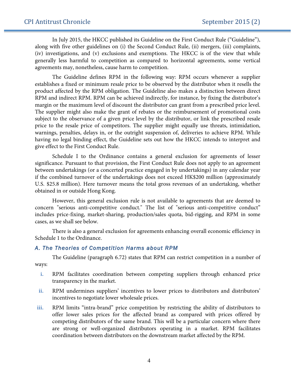In July 2015, the HKCC published its Guideline on the First Conduct Rule ("Guideline"), along with five other guidelines on (i) the Second Conduct Rule, (ii) mergers, (iii) complaints, (iv) investigations, and (v) exclusions and exemptions. The HKCC is of the view that while generally less harmful to competition as compared to horizontal agreements, some vertical agreements may, nonetheless, cause harm to competition.

The Guideline defines RPM in the following way: RPM occurs whenever a supplier establishes a fixed or minimum resale price to be observed by the distributor when it resells the product affected by the RPM obligation. The Guideline also makes a distinction between direct RPM and indirect RPM. RPM can be achieved indirectly, for instance, by fixing the distributor's margin or the maximum level of discount the distributor can grant from a prescribed price level. The supplier might also make the grant of rebates or the reimbursement of promotional costs subject to the observance of a given price level by the distributor, or link the prescribed resale price to the resale price of competitors. The supplier might equally use threats, intimidation, warnings, penalties, delays in, or the outright suspension of, deliveries to achieve RPM. While having no legal binding effect, the Guideline sets out how the HKCC intends to interpret and give effect to the First Conduct Rule.

Schedule I to the Ordinance contains a general exclusion for agreements of lesser significance. Pursuant to that provision, the First Conduct Rule does not apply to an agreement between undertakings (or a concerted practice engaged in by undertakings) in any calendar year if the combined turnover of the undertakings does not exceed HK\$200 million (approximately U.S. \$25.8 million). Here turnover means the total gross revenues of an undertaking, whether obtained in or outside Hong Kong.

However, this general exclusion rule is not available to agreements that are deemed to concern "serious anti-competitive conduct." The list of "serious anti-competitive conduct" includes price-fixing, market-sharing, production/sales quota, bid-rigging, and RPM in some cases, as we shall see below.

There is also a general exclusion for agreements enhancing overall economic efficiency in Schedule 1 to the Ordinance.

#### *A. The Theories of Competition Harms about RPM*

The Guideline (paragraph 6.72) states that RPM can restrict competition in a number of ways:

- **i.** RPM facilitates coordination between competing suppliers through enhanced price transparency in the market.
- ii. RPM undermines suppliers' incentives to lower prices to distributors and distributors' incentives to negotiate lower wholesale prices.
- **iii.** RPM limits "intra-brand" price competition by restricting the ability of distributors to offer lower sales prices for the affected brand as compared with prices offered by competing distributors of the same brand. This will be a particular concern where there are strong or well-organized distributors operating in a market. RPM facilitates coordination between distributors on the downstream market affected by the RPM.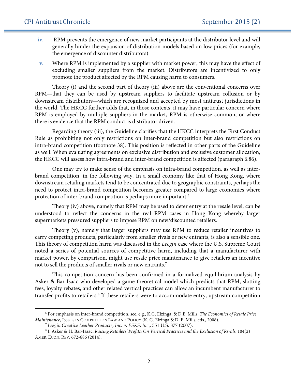$\overline{a}$ 

- **iv.** RPM prevents the emergence of new market participants at the distributor level and will generally hinder the expansion of distribution models based on low prices (for example, the emergence of discounter distributors).
- **v.** Where RPM is implemented by a supplier with market power, this may have the effect of excluding smaller suppliers from the market. Distributors are incentivized to only promote the product affected by the RPM causing harm to consumers.

Theory (i) and the second part of theory (iii) above are the conventional concerns over RPM—that they can be used by upstream suppliers to facilitate upstream collusion or by downstream distributors—which are recognized and accepted by most antitrust jurisdictions in the world. The HKCC further adds that, in those contexts, it may have particular concern where RPM is employed by multiple suppliers in the market, RPM is otherwise common, or where there is evidence that the RPM conduct is distributor driven.

Regarding theory (iii), the Guideline clarifies that the HKCC interprets the First Conduct Rule as prohibiting not only restrictions on inter-brand competition but also restrictions on intra-brand competition (footnote 38). This position is reflected in other parts of the Guideline as well. When evaluating agreements on exclusive distribution and exclusive customer allocation, the HKCC will assess how intra-brand and inter-brand competition is affected (paragraph 6.86).

One may try to make sense of the emphasis on intra-brand competition, as well as interbrand competition, in the following way. In a small economy like that of Hong Kong, where downstream retailing markets tend to be concentrated due to geographic constraints, perhaps the need to protect intra-brand competition becomes greater compared to large economies where protection of inter-brand competition is perhaps more important.<sup>6</sup>

Theory (iv) above, namely that RPM may be used to deter entry at the resale level, can be understood to reflect the concerns in the real RPM cases in Hong Kong whereby larger supermarkets pressured suppliers to impose RPM on new/discounted retailers.

Theory (v), namely that larger suppliers may use RPM to reduce retailer incentives to carry competing products, particularly from smaller rivals or new entrants, is also a sensible one. This theory of competition harm was discussed in the *Leegin* case where the U.S. Supreme Court noted a series of potential sources of competitive harm, including that a manufacturer with market power, by comparison, might use resale price maintenance to give retailers an incentive not to sell the products of smaller rivals or new entrants.7

This competition concern has been confirmed in a formalized equilibrium analysis by Asker & Bar-Isaac who developed a game-theoretical model which predicts that RPM, slotting fees, loyalty rebates, and other related vertical practices can allow an incumbent manufacturer to transfer profits to retailers.<sup>8</sup> If these retailers were to accommodate entry, upstream competition

<sup>6</sup> For emphasis on inter-brand competition, see, e.g., K.G. Elzinga, & D.E. Mills, *The Economics of Resale Price Maintenance*, ISSUES IN COMPETITION LAW AND POLICY (K. G. Elzinga & D. E. Mills, eds., 2008).

<sup>7</sup> *Leegin Creative Leather Products, Inc. v. PSKS, Inc*., 551 U.S. 877 (2007).

<sup>8</sup> J. Asker & H. Bar-Isaac, *Raising Retailers' Profits: On Vertical Practices and the Exclusion of Rivals*, 104(2) AMER. ECON. REV. 672-686 (2014).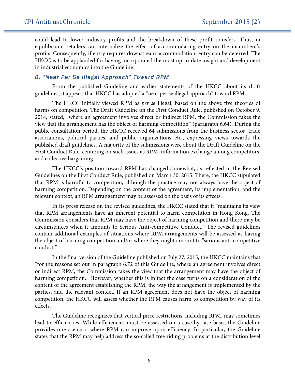could lead to lower industry profits and the breakdown of these profit transfers. Thus, in equilibrium, retailers can internalize the effect of accommodating entry on the incumbent's profits. Consequently, if entry requires downstream accommodation, entry can be deterred. The HKCC is to be applauded for having incorporated the most up-to-date insight and development in industrial economics into the Guideline.

#### *B. "Near Per Se Illegal Approach" Toward RPM*

From the published Guideline and earlier statements of the HKCC about its draft guidelines, it appears that HKCC has adopted a "near per se illegal approach" toward RPM.

The HKCC initially viewed RPM as *per se* illegal, based on the above five theories of harms on competition. The Draft Guideline on the First Conduct Rule, published on October 9, 2014, stated, "where an agreement involves direct or indirect RPM, the Commission takes the view that the arrangement has the object of harming competition" (paragraph 6.64). During the public consultation period, the HKCC received 64 submissions from the business sector, trade associations, political parties, and public organizations etc., expressing views towards the published draft guidelines. A majority of the submissions were about the Draft Guideline on the First Conduct Rule, centering on such issues as RPM, information exchange among competitors, and collective bargaining.

The HKCC's position toward RPM has changed somewhat, as reflected in the Revised Guidelines on the First Conduct Rule, published on March 30, 2015. There, the HKCC stipulated that RPM is harmful to competition, although the practice may not always have the object of harming competition. Depending on the content of the agreement, its implementation, and the relevant context, an RPM arrangement may be assessed on the basis of its effects.

In its press release on the revised guidelines, the HKCC stated that it "maintains its view that RPM arrangements have an inherent potential to harm competition in Hong Kong. The Commission considers that RPM may have the object of harming competition and there may be circumstances when it amounts to Serious Anti-competitive Conduct." The revised guidelines contain additional examples of situations where RPM arrangements will be assessed as having the object of harming competition and/or where they might amount to "serious anti-competitive conduct."

In the final version of the Guideline published on July 27, 2015, the HKCC maintains that "for the reasons set out in paragraph 6.72 of this Guideline, where an agreement involves direct or indirect RPM, the Commission takes the view that the arrangement may have the object of harming competition." However, whether this is in fact the case turns on a consideration of the content of the agreement establishing the RPM, the way the arrangement is implemented by the parties, and the relevant context. If an RPM agreement does not have the object of harming competition, the HKCC will assess whether the RPM causes harm to competition by way of its effects.

The Guideline recognizes that vertical price restrictions, including RPM, may sometimes lead to efficiencies. While efficiencies must be assessed on a case-by-case basis, the Guideline provides one scenario where RPM can improve upon efficiency. In particular, the Guideline states that the RPM may help address the so-called free riding problems at the distribution level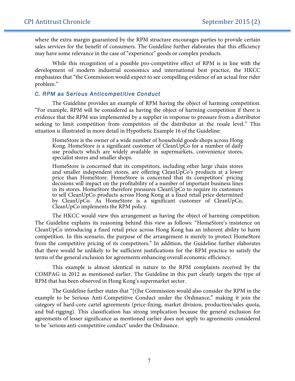where the extra margin guaranteed by the RPM structure encourages parties to provide certain sales services for the benefit of consumers. The Guideline further elaborates that this efficiency may have some relevance in the case of "experience" goods or complex products.

While this recognition of a possible pro-competitive effect of RPM is in line with the development of modern industrial economics and international best practice, the HKCC emphasizes that "the Commission would expect to see compelling evidence of an actual free rider problem."

#### *C. RPM as Serious Anticompetitive Conduct*

The Guideline provides an example of RPM having the object of harming competition. "For example, RPM will be considered as having the object of harming competition if there is evidence that the RPM was implemented by a supplier in response to pressure from a distributor seeking to limit competition from competitors of the distributor at the resale level." This situation is illustrated in more detail in Hypothetic Example 16 of the Guideline:

HomeStore is the owner of a wide number of household goods shops across Hong Kong. HomeStore is a significant customer of CleanUpCo for a number of daily use products which are widely available in supermarkets, convenience stores, specialist stores and smaller shops.

HomeStore is concerned that its competitors, including other large chain stores and smaller independent stores, are offering CleanUpCo's products at a lower price than HomeStore. HomeStore is concerned that its competitors' pricing decisions will impact on the profitability of a number of important business lines in its stores. HomeStore therefore pressures CleanUpCo to require its customers to sell CleanUpCo products across Hong Kong at a fixed retail price determined by CleanUpCo. As HomeStore is a significant customer of CleanUpCo, CleanUpCo implements the RPM policy.

The HKCC would view this arrangement as having the object of harming competition. The Guideline explains its reasoning behind this view as follows: "HomeStore's insistence on CleanUpCo introducing a fixed retail price across Hong Kong has an inherent ability to harm competition. In this scenario, the purpose of the arrangement is merely to protect HomeStore from the competitive pricing of its competitors." In addition, the Guideline further elaborates that there would be unlikely to be sufficient justifications for the RPM practice to satisfy the terms of the general exclusion for agreements enhancing overall economic efficiency.

This example is almost identical in nature to the RPM complaints received by the COMPAG in 2012 as mentioned earlier. The Guideline in this part clearly targets the type of RPM that has been observed in Hong Kong's supermarket sector.

The Guideline further states that "[t]he Commission would also consider the RPM in the example to be Serious Anti-Competitive Conduct under the Ordinance," making it join the category of hard-core cartel agreements (price-fixing, market division, production/sales quota, and bid-rigging). This classification has strong implication because the general exclusion for agreements of lesser significance as mentioned earlier does not apply to agreements considered to be "serious anti-competitive conduct" under the Ordinance.